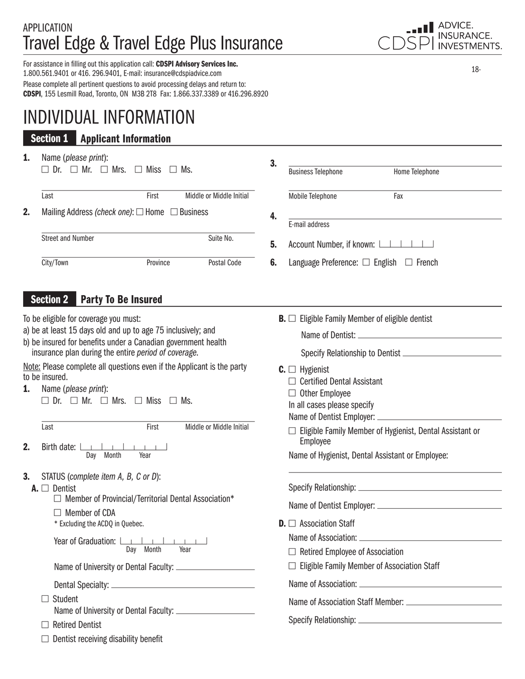# **APPLICATION** Travel Edge & Travel Edge Plus Insurance

For assistance in filling out this application call: CDSPI Advisory Services Inc. 1.800.561.9401 or 416. 296.9401, E-mail: insurance@cdspiadvice.com Please complete all pertinent questions to avoid processing delays and return to: CDSPI, 155 Lesmill Road, Toronto, ON M3B 2T8 Fax: 1.866.337.3389 or 416.296.8920

# INDIVIDUAL INFORMATION

## Section 1 Applicant Information

| 1. | Name (please print):<br>$\Box$ Dr. $\Box$ Mr. $\Box$ Mrs. $\Box$ Miss $\Box$ Ms. |          |                          |
|----|----------------------------------------------------------------------------------|----------|--------------------------|
|    | Last                                                                             | First    | Middle or Middle Initial |
| 2. | Mailing Address (check one): $\Box$ Home $\Box$ Business                         |          |                          |
|    | <b>Street and Number</b>                                                         |          | Suite No.                |
|    | City/Town                                                                        | Province | Postal Code              |

## Section 2 Party To Be Insured

To be eligible for coverage you must:

- a) be at least 15 days old and up to age 75 inclusively; and
- b) be insured for benefits under a Canadian government health insurance plan during the entire *period of coverage*.

Note: Please complete all questions even if the Applicant is the party to be insured.

1. Name (*please print*):  $\Box$  Dr.  $\Box$  Mr.  $\Box$  Mrs.  $\Box$  Miss  $\Box$  Ms.

Last First Middle or Middle Initial

- 2. Birth date:  $\Box$  $1 - 1 - 1$ Day Month Year
- 3. STATUS (*complete item A, B, C or D*):
- 

**A.**  $\square$  Dentist Member of Provincial/Territorial Dental Association\*

- 
- $\Box$  Member of CDA<br>\* Excluding the ACDQ in Quebec.

Year of Graduation: L Day Month Year  $\mathcal{A}$  and  $\mathcal{A}$  and  $\mathcal{A}$ 

Name of University or Dental Faculty:

Dental Specialty:

□ Student

Name of University or Dental Faculty:

- $\Box$  Retired Dentist
- $\Box$  Dentist receiving disability benefit

| LUI ADVICE.<br>CDSPI INSURANCE. |
|---------------------------------|
|                                 |

18-

| <b>Business Telephone</b>                                                                                                    | Home Telephone                                                  |
|------------------------------------------------------------------------------------------------------------------------------|-----------------------------------------------------------------|
| Mobile Telephone                                                                                                             | Fax                                                             |
|                                                                                                                              |                                                                 |
|                                                                                                                              |                                                                 |
| Account Number, if known: $\boxed{\phantom{a}}$                                                                              |                                                                 |
| Language Preference: $\Box$ English $\Box$ French                                                                            |                                                                 |
| <b>B.</b> $\Box$ Eligible Family Member of eligible dentist                                                                  |                                                                 |
|                                                                                                                              | Specify Relationship to Dentist                                 |
| $C. \Box$ Hygienist<br>$\Box$ Certified Dental Assistant<br>$\Box$ Other Employee<br>In all cases please specify<br>Employee | $\Box$ Eligible Family Member of Hygienist, Dental Assistant or |
|                                                                                                                              | E-mail address                                                  |

Name of Hygienist, Dental Assistant or Employee:

| Specify Relationship: |  |
|-----------------------|--|
|                       |  |

Name of Dentist Employer:

 $D. \Box$  Association Staff

Name of Association:

- $\Box$  Retired Employee of Association
- $\Box$  Eligible Family Member of Association Staff

Name of Association:

Name of Association Staff Member:

Specify Relationship: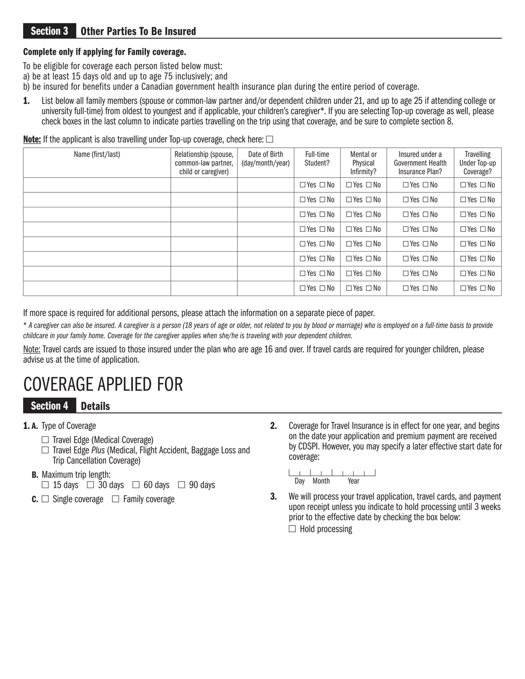## Section 3 Other Parties To Be Insured

### Complete only if applying for Family coverage.

- To be eligible for coverage each person listed below must:
- a) be at least 15 days old and up to age 75 inclusively; and
- b) be insured for benefits under a Canadian government health insurance plan during the entire period of coverage.
- 1. List below all family members (spouse or common-law partner and/or dependent children under 21, and up to age 25 if attending college or university full-time) from oldest to youngest and if applicable, your children's caregiver\*. If you are selecting Top-up coverage as well, please check boxes in the last column to indicate parties travelling on the trip using that coverage, and be sure to complete section 8.

**Note:** If the applicant is also travelling under Top-up coverage, check here:  $\Box$ 

| Name (first/last) | Relationship (spouse,<br>common-law partner,<br>child or caregiver) | Date of Birth<br>(day/month/year) | Full-time<br>Student? | Mental or<br>Physical<br>Infirmity? | Insured under a<br><b>Government Health</b><br>Insurance Plan? | <b>Travelling</b><br>Under Top-up<br>Coverage? |
|-------------------|---------------------------------------------------------------------|-----------------------------------|-----------------------|-------------------------------------|----------------------------------------------------------------|------------------------------------------------|
|                   |                                                                     |                                   | $\Box$ Yes $\Box$ No  | $\Box$ Yes $\Box$ No                | $\Box$ Yes $\Box$ No                                           | $\Box$ Yes $\Box$ No                           |
|                   |                                                                     |                                   | $\Box$ Yes $\Box$ No  | $\Box$ Yes $\Box$ No                | $\Box$ Yes $\Box$ No                                           | $\Box$ Yes $\Box$ No                           |
|                   |                                                                     |                                   | $\Box$ Yes $\Box$ No  | $\Box$ Yes $\Box$ No                | $\Box$ Yes $\Box$ No                                           | $\Box$ Yes $\Box$ No                           |
|                   |                                                                     |                                   | $\Box$ Yes $\Box$ No  | $\Box$ Yes $\Box$ No                | $\Box$ Yes $\Box$ No                                           | $\Box$ Yes $\Box$ No                           |
|                   |                                                                     |                                   | $\Box$ Yes $\Box$ No  | $\Box$ Yes $\Box$ No                | $\Box$ Yes $\Box$ No                                           | $\Box$ Yes $\Box$ No                           |
|                   |                                                                     |                                   | $\Box$ Yes $\Box$ No  | $\Box$ Yes $\Box$ No                | $\Box$ Yes $\Box$ No                                           | $\Box$ Yes $\Box$ No                           |
|                   |                                                                     |                                   | $\Box$ Yes $\Box$ No  | $\Box$ Yes $\Box$ No                | $\Box$ Yes $\Box$ No                                           | $\Box$ Yes $\Box$ No                           |
|                   |                                                                     |                                   | $\Box$ Yes $\Box$ No  | $\Box$ Yes $\Box$ No                | $\Box$ Yes $\Box$ No                                           | $\Box$ Yes $\Box$ No                           |

If more space is required for additional persons, please attach the information on a separate piece of paper.

\* *A caregiver can also be insured. A caregiver is a person (18 years of age or older, not related to you by blood or marriage) who is employed on a full-time basis to provide childcare in your family home. Coverage for the caregiver applies when she/he is traveling with your dependent children.*

Note: Travel cards are issued to those insured under the plan who are age 16 and over. If travel cards are required for younger children, please advise us at the time of application.

# COVERAGE APPLIED FOR

### Section 4 Details

### 1. A. Type of Coverage

- $\Box$  Travel Edge (Medical Coverage)
- □ Travel Edge *Plus* (Medical, Flight Accident, Baggage Loss and Trip Cancellation Coverage)
- 
- **B.** Maximum trip length:<br> $\Box$  15 days  $\Box$  30 days  $\Box$  60 days  $\Box$  90 days
- **C.**  $\Box$  Single coverage  $\Box$  Family coverage

**2.** Coverage for Travel Insurance is in effect for one year, and begins on the date your application and premium payment are received by CDSPI. However, you may specify a later effective start date for coverage:

Day Month Year

**3.** We will process your travel application, travel cards, and payment upon receipt unless you indicate to hold processing until 3 weeks prior to the effective date by checking the box below:  $\Box$  Hold processing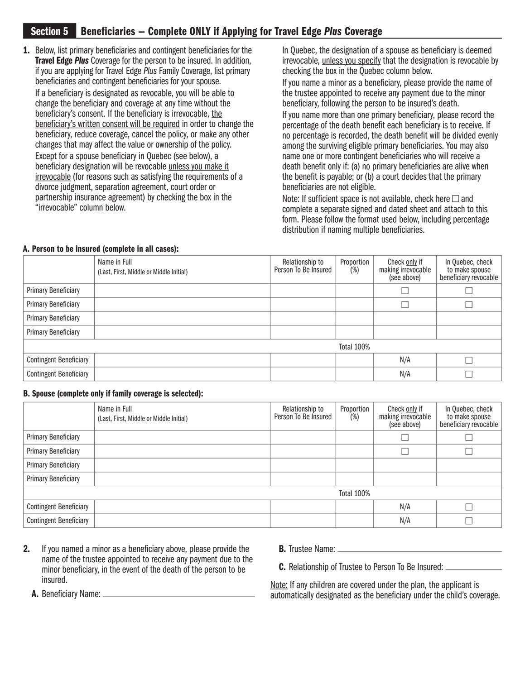### Section 5 Beneficiaries — Complete ONLY if Applying for Travel Edge *Plus* Coverage

1. Below, list primary beneficiaries and contingent beneficiaries for the Travel Edge *Plus* Coverage for the person to be insured. In addition, if you are applying for Travel Edge *Plus* Family Coverage, list primary beneficiaries and contingent beneficiaries for your spouse. If a beneficiary is designated as revocable, you will be able to change the beneficiary and coverage at any time without the beneficiary's consent. If the beneficiary is irrevocable, the beneficiary's written consent will be required in order to change the beneficiary, reduce coverage, cancel the policy, or make any other changes that may affect the value or ownership of the policy. Except for a spouse beneficiary in Quebec (see below), a beneficiary designation will be revocable unless you make it irrevocable (for reasons such as satisfying the requirements of a divorce judgment, separation agreement, court order or partnership insurance agreement) by checking the box in the "irrevocable" column below.

 In Quebec, the designation of a spouse as beneficiary is deemed irrevocable, unless you specify that the designation is revocable by checking the box in the Quebec column below.

 If you name a minor as a beneficiary, please provide the name of the trustee appointed to receive any payment due to the minor beneficiary, following the person to be insured's death.

 If you name more than one primary beneficiary, please record the percentage of the death benefit each beneficiary is to receive. If no percentage is recorded, the death benefit will be divided evenly among the surviving eligible primary beneficiaries. You may also name one or more contingent beneficiaries who will receive a death benefit only if: (a) no primary beneficiaries are alive when the benefit is payable; or (b) a court decides that the primary beneficiaries are not eligible.

Note: If sufficient space is not available, check here  $\square$  and complete a separate signed and dated sheet and attach to this form. Please follow the format used below, including percentage distribution if naming multiple beneficiaries.

### A. Person to be insured (complete in all cases):

|                               | Name in Full<br>(Last, First, Middle or Middle Initial) | Relationship to<br>Person To Be Insured | Proportion<br>(%) | Check only if<br>making irrevocable<br>(see above) | In Quebec, check<br>to make spouse<br>beneficiary revocable |
|-------------------------------|---------------------------------------------------------|-----------------------------------------|-------------------|----------------------------------------------------|-------------------------------------------------------------|
| <b>Primary Beneficiary</b>    |                                                         |                                         |                   |                                                    |                                                             |
| <b>Primary Beneficiary</b>    |                                                         |                                         |                   |                                                    |                                                             |
| <b>Primary Beneficiary</b>    |                                                         |                                         |                   |                                                    |                                                             |
| <b>Primary Beneficiary</b>    |                                                         |                                         |                   |                                                    |                                                             |
|                               |                                                         |                                         | Total 100%        |                                                    |                                                             |
| <b>Contingent Beneficiary</b> |                                                         |                                         |                   | N/A                                                |                                                             |
| <b>Contingent Beneficiary</b> |                                                         |                                         |                   | N/A                                                |                                                             |

#### B. Spouse (complete only if family coverage is selected):

|                               | Name in Full<br>(Last, First, Middle or Middle Initial) | Relationship to<br>Person To Be Insured | Proportion<br>(%) | Check only if<br>making irrevocable<br>(see above) | In Quebec, check<br>to make spouse<br>beneficiary revocable |
|-------------------------------|---------------------------------------------------------|-----------------------------------------|-------------------|----------------------------------------------------|-------------------------------------------------------------|
| <b>Primary Beneficiary</b>    |                                                         |                                         |                   |                                                    |                                                             |
| <b>Primary Beneficiary</b>    |                                                         |                                         |                   |                                                    |                                                             |
| <b>Primary Beneficiary</b>    |                                                         |                                         |                   |                                                    |                                                             |
| <b>Primary Beneficiary</b>    |                                                         |                                         |                   |                                                    |                                                             |
|                               |                                                         |                                         | Total 100%        |                                                    |                                                             |
| <b>Contingent Beneficiary</b> |                                                         |                                         |                   | N/A                                                |                                                             |
| <b>Contingent Beneficiary</b> |                                                         |                                         |                   | N/A                                                |                                                             |

- 2. If you named a minor as a beneficiary above, please provide the name of the trustee appointed to receive any payment due to the minor beneficiary, in the event of the death of the person to be insured.
- B. Trustee Name:

C. Relationship of Trustee to Person To Be Insured:

Note: If any children are covered under the plan, the applicant is automatically designated as the beneficiary under the child's coverage.

A. Beneficiary Name: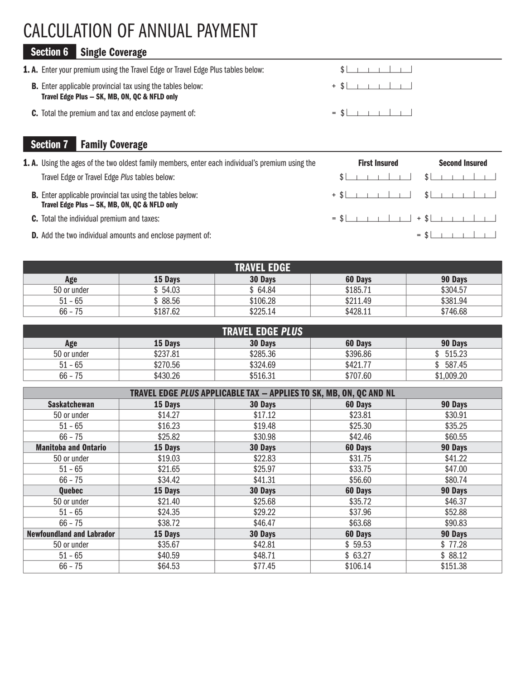# CALCULATION OF ANNUAL PAYMENT

# Section 6 Single Coverage

| <b>1. A.</b> Enter your premium using the Travel Edge or Travel Edge Plus tables below:                            |  |                                                                        |  |  |  |
|--------------------------------------------------------------------------------------------------------------------|--|------------------------------------------------------------------------|--|--|--|
| <b>B.</b> Enter applicable provincial tax using the tables below:<br>Travel Edge Plus - SK, MB, ON, QC & NFLD only |  | $+$ \$ $\vert$ $\vert$ $\vert$ $\vert$ $\vert$ $\vert$ $\vert$ $\vert$ |  |  |  |
| <b>C.</b> Total the premium and tax and enclose payment of:                                                        |  | $=$ \$                                                                 |  |  |  |

# Section 7 Family Coverage

| <b>1. A.</b> Using the ages of the two oldest family members, enter each individual's premium using the            | <b>First Insured</b> | <b>Second Insured</b> |
|--------------------------------------------------------------------------------------------------------------------|----------------------|-----------------------|
| Travel Edge or Travel Edge Plus tables below:                                                                      | \$                   |                       |
| <b>B.</b> Enter applicable provincial tax using the tables below:<br>Travel Edge Plus - SK, MB, ON, QC & NFLD only |                      |                       |
| <b>C.</b> Total the individual premium and taxes:                                                                  |                      |                       |
| <b>D.</b> Add the two individual amounts and enclose payment of:                                                   |                      | $=$ \$                |

| <b>TRAVEL EDGE</b> |          |          |          |          |  |  |  |
|--------------------|----------|----------|----------|----------|--|--|--|
| Age                | 15 Days  | 30 Days  | 60 Days  | 90 Days  |  |  |  |
| 50 or under        | 54.03    | 64.84    | \$185.71 | \$304.57 |  |  |  |
| $51 - 65$          | 88.56    | \$106.28 | \$211.49 | \$381.94 |  |  |  |
| $66 - 75$          | \$187.62 | \$225.14 | \$428.11 | \$746.68 |  |  |  |

| <b>TRAVEL EDGE PLUS</b> |          |          |          |            |  |  |  |
|-------------------------|----------|----------|----------|------------|--|--|--|
| Age                     | 15 Days  | 30 Days  | 60 Days  | 90 Days    |  |  |  |
| 50 or under             | \$237.81 | \$285.36 | \$396.86 | 515.23     |  |  |  |
| $51 - 65$               | \$270.56 | \$324.69 | \$421.77 | 587.45     |  |  |  |
| $66 - 75$               | \$430.26 | \$516.31 | \$707.60 | \$1,009.20 |  |  |  |

| TRAVEL EDGE PLUS APPLICABLE TAX - APPLIES TO SK, MB, ON, QC AND NL |         |         |          |          |  |  |  |  |
|--------------------------------------------------------------------|---------|---------|----------|----------|--|--|--|--|
| <b>Saskatchewan</b>                                                | 15 Days | 30 Days | 60 Days  | 90 Days  |  |  |  |  |
| 50 or under                                                        | \$14.27 | \$17.12 | \$23.81  | \$30.91  |  |  |  |  |
| $51 - 65$                                                          | \$16.23 | \$19.48 | \$25.30  | \$35.25  |  |  |  |  |
| $66 - 75$                                                          | \$25.82 | \$30.98 | \$42.46  | \$60.55  |  |  |  |  |
| <b>Manitoba and Ontario</b>                                        | 15 Days | 30 Days | 60 Days  | 90 Days  |  |  |  |  |
| 50 or under                                                        | \$19.03 | \$22.83 | \$31.75  | \$41.22  |  |  |  |  |
| $51 - 65$                                                          | \$21.65 | \$25.97 | \$33.75  | \$47.00  |  |  |  |  |
| $66 - 75$                                                          | \$34.42 | \$41.31 | \$56.60  | \$80.74  |  |  |  |  |
| Quebec                                                             | 15 Days | 30 Days | 60 Days  | 90 Days  |  |  |  |  |
| 50 or under                                                        | \$21.40 | \$25.68 | \$35.72  | \$46.37  |  |  |  |  |
| $51 - 65$                                                          | \$24.35 | \$29.22 | \$37.96  | \$52.88  |  |  |  |  |
| $66 - 75$                                                          | \$38.72 | \$46.47 | \$63.68  | \$90.83  |  |  |  |  |
| <b>Newfoundland and Labrador</b>                                   | 15 Days | 30 Days | 60 Days  | 90 Days  |  |  |  |  |
| 50 or under                                                        | \$35.67 | \$42.81 | \$59.53  | \$77.28  |  |  |  |  |
| $51 - 65$                                                          | \$40.59 | \$48.71 | \$63.27  | \$88.12  |  |  |  |  |
| $66 - 75$                                                          | \$64.53 | \$77.45 | \$106.14 | \$151.38 |  |  |  |  |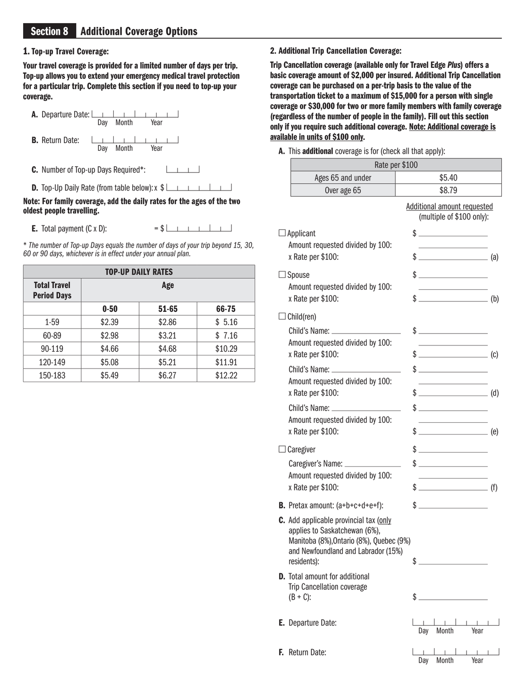### 1. Top-up Travel Coverage:

Your travel coverage is provided for a limited number of days per trip. Top-up allows you to extend your emergency medical travel protection for a particular trip. Complete this section if you need to top-up your coverage.



D. Top-Up Daily Rate (from table below): x  $\frac{1}{2}$ 

#### Note: For family coverage, add the daily rates for the ages of the two oldest people travelling.

**E.** Total payment  $(C \times D)$ :  $= $L_1 + L_2 + L_3$ 

\* *The number of Top-up Days equals the number of days of your trip beyond 15, 30, 60 or 90 days, whichever is in effect under your annual plan.*

| <b>TOP-UP DAILY RATES</b>                 |          |           |         |  |  |  |
|-------------------------------------------|----------|-----------|---------|--|--|--|
| <b>Total Travel</b><br><b>Period Days</b> | Age      |           |         |  |  |  |
|                                           | $0 - 50$ | $51 - 65$ | 66-75   |  |  |  |
| $1 - 59$                                  | \$2.39   | \$2.86    | \$5.16  |  |  |  |
| 60-89                                     | \$2.98   | \$3.21    | \$7.16  |  |  |  |
| 90-119                                    | \$4.66   | \$4.68    | \$10.29 |  |  |  |
| 120-149                                   | \$5.08   | \$5.21    | \$11.91 |  |  |  |
| 150-183                                   | \$5.49   | \$6.27    | \$12.22 |  |  |  |

2. Additional Trip Cancellation Coverage:

Trip Cancellation coverage (available only for Travel Edge *Plus*) offers a basic coverage amount of \$2,000 per insured. Additional Trip Cancellation coverage can be purchased on a per-trip basis to the value of the transportation ticket to a maximum of \$15,000 for a person with single coverage or \$30,000 for two or more family members with family coverage (regardless of the number of people in the family). Fill out this section only if you require such additional coverage. Note: Additional coverage is available in units of \$100 only.

A. This additional coverage is for (check all that apply):

| Rate per \$100                                                                 |                                                                                                                                                                                                                                                                                                                                                                                                                                                        |
|--------------------------------------------------------------------------------|--------------------------------------------------------------------------------------------------------------------------------------------------------------------------------------------------------------------------------------------------------------------------------------------------------------------------------------------------------------------------------------------------------------------------------------------------------|
| Ages 65 and under                                                              | \$5.40                                                                                                                                                                                                                                                                                                                                                                                                                                                 |
| Over age 65                                                                    | \$8.79                                                                                                                                                                                                                                                                                                                                                                                                                                                 |
|                                                                                | Additional amount requested<br>(multiple of \$100 only):                                                                                                                                                                                                                                                                                                                                                                                               |
| $\Box$ Applicant                                                               | $\frac{1}{2}$ $\frac{1}{2}$ $\frac{1}{2}$ $\frac{1}{2}$ $\frac{1}{2}$ $\frac{1}{2}$ $\frac{1}{2}$ $\frac{1}{2}$ $\frac{1}{2}$ $\frac{1}{2}$ $\frac{1}{2}$ $\frac{1}{2}$ $\frac{1}{2}$ $\frac{1}{2}$ $\frac{1}{2}$ $\frac{1}{2}$ $\frac{1}{2}$ $\frac{1}{2}$ $\frac{1}{2}$ $\frac{1}{2}$ $\frac{1}{2}$ $\frac{1}{2}$                                                                                                                                    |
| Amount requested divided by 100:                                               | the control of the control of the                                                                                                                                                                                                                                                                                                                                                                                                                      |
| x Rate per \$100:                                                              | $\sqrt[6]{\begin{array}{c} 5 \end{array}}$ (a)                                                                                                                                                                                                                                                                                                                                                                                                         |
| $\Box$ Spouse                                                                  | $\frac{1}{2}$                                                                                                                                                                                                                                                                                                                                                                                                                                          |
| Amount requested divided by 100:                                               |                                                                                                                                                                                                                                                                                                                                                                                                                                                        |
| x Rate per \$100:                                                              | $\sqrt[6]{\frac{1}{2}}$ (b)                                                                                                                                                                                                                                                                                                                                                                                                                            |
| $\Box$ Child(ren)                                                              |                                                                                                                                                                                                                                                                                                                                                                                                                                                        |
|                                                                                | $\frac{1}{2}$                                                                                                                                                                                                                                                                                                                                                                                                                                          |
| Amount requested divided by 100:                                               | the control of the control of the                                                                                                                                                                                                                                                                                                                                                                                                                      |
| x Rate per \$100:                                                              | $\sqrt[6]{\frac{1}{2}}$ (c)                                                                                                                                                                                                                                                                                                                                                                                                                            |
|                                                                                | $\frac{1}{2}$                                                                                                                                                                                                                                                                                                                                                                                                                                          |
| Amount requested divided by 100:                                               | the control of the control of the                                                                                                                                                                                                                                                                                                                                                                                                                      |
| x Rate per \$100:                                                              | $\sqrt[6]{\frac{1}{100}}$ (d)                                                                                                                                                                                                                                                                                                                                                                                                                          |
|                                                                                | $\frac{1}{2}$                                                                                                                                                                                                                                                                                                                                                                                                                                          |
| Amount requested divided by 100:                                               | $\mathcal{L}^{\mathcal{L}}(\mathcal{L}^{\mathcal{L}})$ and $\mathcal{L}^{\mathcal{L}}(\mathcal{L}^{\mathcal{L}})$ and $\mathcal{L}^{\mathcal{L}}(\mathcal{L}^{\mathcal{L}})$                                                                                                                                                                                                                                                                           |
| x Rate per \$100:                                                              | $\sqrt[6]{\frac{1}{2}}$ (e)                                                                                                                                                                                                                                                                                                                                                                                                                            |
| $\Box$ Caregiver                                                               | $\frac{1}{2}$                                                                                                                                                                                                                                                                                                                                                                                                                                          |
| Caregiver's Name: __________________                                           | $\sim$                                                                                                                                                                                                                                                                                                                                                                                                                                                 |
| Amount requested divided by 100:                                               | $\mathcal{L}^{\mathcal{L}}(\mathcal{L}^{\mathcal{L}})$ and $\mathcal{L}^{\mathcal{L}}(\mathcal{L}^{\mathcal{L}})$ and $\mathcal{L}^{\mathcal{L}}(\mathcal{L}^{\mathcal{L}})$                                                                                                                                                                                                                                                                           |
| x Rate per \$100:                                                              | $\sqrt[6]{\frac{1}{2} \cdot \frac{1}{2} \cdot \frac{1}{2} \cdot \frac{1}{2} \cdot \frac{1}{2} \cdot \frac{1}{2} \cdot \frac{1}{2} \cdot \frac{1}{2} \cdot \frac{1}{2} \cdot \frac{1}{2} \cdot \frac{1}{2} \cdot \frac{1}{2} \cdot \frac{1}{2} \cdot \frac{1}{2} \cdot \frac{1}{2} \cdot \frac{1}{2} \cdot \frac{1}{2} \cdot \frac{1}{2} \cdot \frac{1}{2} \cdot \frac{1}{2} \cdot \frac{1}{2} \cdot \frac{1}{2} \cdot \frac{1}{2} \cdot \frac{1}{2} \$ |
| <b>B.</b> Pretax amount: $(a+b+c+d+e+f)$ :                                     | $\frac{1}{2}$                                                                                                                                                                                                                                                                                                                                                                                                                                          |
| <b>C.</b> Add applicable provincial tax (only<br>applies to Saskatchewan (6%), |                                                                                                                                                                                                                                                                                                                                                                                                                                                        |
| Manitoba (8%), Ontario (8%), Quebec (9%)                                       |                                                                                                                                                                                                                                                                                                                                                                                                                                                        |
| and Newfoundland and Labrador (15%)                                            |                                                                                                                                                                                                                                                                                                                                                                                                                                                        |
| residents):                                                                    | \$.                                                                                                                                                                                                                                                                                                                                                                                                                                                    |
| <b>D.</b> Total amount for additional                                          |                                                                                                                                                                                                                                                                                                                                                                                                                                                        |
| <b>Trip Cancellation coverage</b><br>$(B + C)$ :                               | \$                                                                                                                                                                                                                                                                                                                                                                                                                                                     |
|                                                                                |                                                                                                                                                                                                                                                                                                                                                                                                                                                        |
| <b>E.</b> Departure Date:                                                      |                                                                                                                                                                                                                                                                                                                                                                                                                                                        |
|                                                                                | Month<br>Year<br>Day                                                                                                                                                                                                                                                                                                                                                                                                                                   |
| Return Date:                                                                   |                                                                                                                                                                                                                                                                                                                                                                                                                                                        |
|                                                                                | Month<br>Year<br>Day                                                                                                                                                                                                                                                                                                                                                                                                                                   |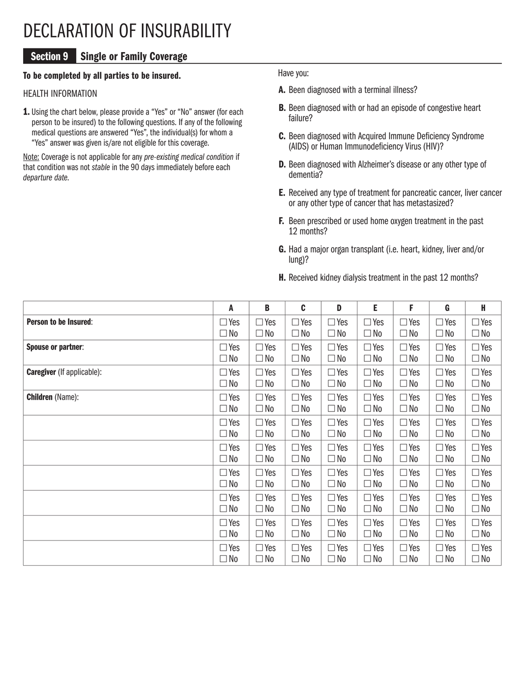# DECLARATION OF INSURABILITY

## Section 9 Single or Family Coverage

### To be completed by all parties to be insured.

### HEALTH INFORMATION

1. Using the chart below, please provide a "Yes" or "No" answer (for each person to be insured) to the following questions. If any of the following medical questions are answered "Yes", the individual(s) for whom a "Yes" answer was given is/are not eligible for this coverage.

Note: Coverage is not applicable for any *pre-existing medical condition* if that condition was not *stable* in the 90 days immediately before each *departure date*.

Have you:

- A. Been diagnosed with a terminal illness?
- **B.** Been diagnosed with or had an episode of congestive heart failure?
- C. Been diagnosed with Acquired Immune Deficiency Syndrome (AIDS) or Human Immunodeficiency Virus (HIV)?
- D. Been diagnosed with Alzheimer's disease or any other type of dementia?
- E. Received any type of treatment for pancreatic cancer, liver cancer or any other type of cancer that has metastasized?
- F. Been prescribed or used home oxygen treatment in the past 12 months?
- G. Had a major organ transplant (i.e. heart, kidney, liver and/or lung)?
- H. Received kidney dialysis treatment in the past 12 months?

|                                   | A            | B            | C          | D            | E          | F            | G            | H            |
|-----------------------------------|--------------|--------------|------------|--------------|------------|--------------|--------------|--------------|
| Person to be Insured:             | $\Box$ Yes   | $\Box$ Yes   | $\Box$ Yes | $\Box$ Yes   | $\Box$ Yes | $\Box$ Yes   | $\Box$ Yes   | $\Box$ Yes   |
|                                   | $\square$ No | $\Box$ No    | $\Box$ No  | $\Box$ No    | $\Box$ No  | $\Box$ No    | $\square$ No | $\Box$ No    |
| <b>Spouse or partner:</b>         | $\Box$ Yes   | $\Box$ Yes   | $\Box$ Yes | $\Box$ Yes   | $\Box$ Yes | $\Box$ Yes   | $\Box$ Yes   | $\Box$ Yes   |
|                                   | $\square$ No | $\Box$ No    | $\Box$ No  | $\Box$ No    | $\Box$ No  | $\Box$ No    | $\Box$ No    | $\Box$ No    |
| <b>Caregiver</b> (If applicable): | $\Box$ Yes   | $\Box$ Yes   | $\Box$ Yes | $\Box$ Yes   | $\Box$ Yes | $\Box$ Yes   | $\Box$ Yes   | $\Box$ Yes   |
|                                   | $\Box$ No    | $\Box$ No    | $\Box$ No  | $\Box$ No    | $\Box$ No  | $\Box$ No    | $\Box$ No    | $\Box$ No    |
| <b>Children</b> (Name):           | $\Box$ Yes   | $\Box$ Yes   | $\Box$ Yes | $\Box$ Yes   | $\Box$ Yes | $\Box$ Yes   | $\Box$ Yes   | $\Box$ Yes   |
|                                   | $\square$ No | $\Box$ No    | $\Box$ No  | $\Box$ No    | $\Box$ No  | $\square$ No | $\square$ No | $\square$ No |
|                                   | $\Box$ Yes   | $\Box$ Yes   | $\Box$ Yes | $\Box$ Yes   | $\Box$ Yes | $\Box$ Yes   | $\Box$ Yes   | $\Box$ Yes   |
|                                   | $\Box$ No    | $\square$ No | $\Box$ No  | $\Box$ No    | $\Box$ No  | $\square$ No | $\Box$ No    | $\Box$ No    |
|                                   | $\Box$ Yes   | $\Box$ Yes   | $\Box$ Yes | $\Box$ Yes   | $\Box$ Yes | $\Box$ Yes   | $\Box$ Yes   | $\Box$ Yes   |
|                                   | $\Box$ No    | $\Box$ No    | $\Box$ No  | $\Box$ No    | $\Box$ No  | $\Box$ No    | $\Box$ No    | $\Box$ No    |
|                                   | $\Box$ Yes   | $\Box$ Yes   | $\Box$ Yes | $\Box$ Yes   | $\Box$ Yes | $\Box$ Yes   | $\Box$ Yes   | $\Box$ Yes   |
|                                   | $\Box$ No    | $\square$ No | $\Box$ No  | $\Box$ No    | $\Box$ No  | $\Box$ No    | $\square$ No | $\Box$ No    |
|                                   | $\Box$ Yes   | $\Box$ Yes   | $\Box$ Yes | $\Box$ Yes   | $\Box$ Yes | $\Box$ Yes   | $\Box$ Yes   | $\Box$ Yes   |
|                                   | $\square$ No | $\Box$ No    | $\Box$ No  | $\Box$ No    | $\Box$ No  | $\square$ No | $\square$ No | $\Box$ No    |
|                                   | $\Box$ Yes   | $\Box$ Yes   | $\Box$ Yes | $\Box$ Yes   | $\Box$ Yes | $\Box$ Yes   | $\Box$ Yes   | $\Box$ Yes   |
|                                   | $\Box$ No    | $\Box$ No    | $\Box$ No  | $\Box$ No    | $\Box$ No  | $\Box$ No    | $\square$ No | $\Box$ No    |
|                                   | $\Box$ Yes   | $\Box$ Yes   | $\Box$ Yes | $\Box$ Yes   | $\Box$ Yes | $\Box$ Yes   | $\Box$ Yes   | $\Box$ Yes   |
|                                   | $\square$ No | $\square$ No | $\Box$ No  | $\square$ No | $\Box$ No  | $\square$ No | $\square$ No | $\square$ No |